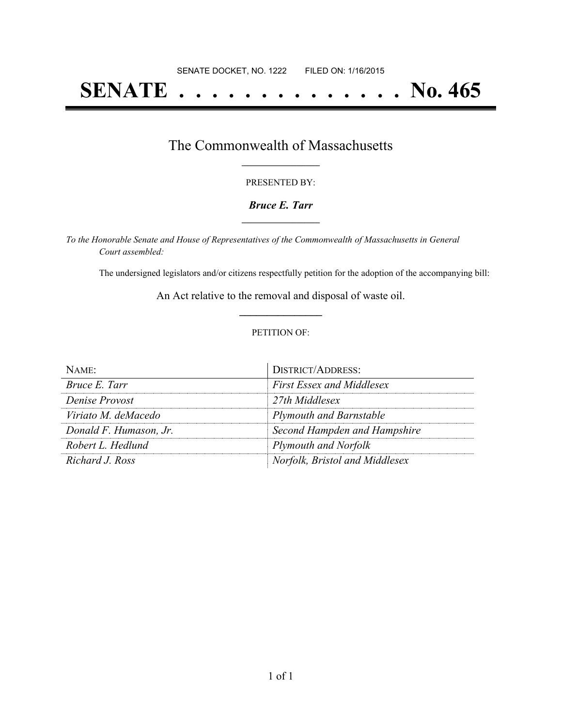# **SENATE . . . . . . . . . . . . . . No. 465**

## The Commonwealth of Massachusetts **\_\_\_\_\_\_\_\_\_\_\_\_\_\_\_\_\_**

#### PRESENTED BY:

#### *Bruce E. Tarr* **\_\_\_\_\_\_\_\_\_\_\_\_\_\_\_\_\_**

*To the Honorable Senate and House of Representatives of the Commonwealth of Massachusetts in General Court assembled:*

The undersigned legislators and/or citizens respectfully petition for the adoption of the accompanying bill:

An Act relative to the removal and disposal of waste oil. **\_\_\_\_\_\_\_\_\_\_\_\_\_\_\_**

#### PETITION OF:

| $N$ AME:               | <b>DISTRICT/ADDRESS:</b>         |
|------------------------|----------------------------------|
| Bruce E. Tarr          | <b>First Essex and Middlesex</b> |
| Denise Provost         | 27th Middlesex                   |
| Viriato M. deMacedo    | <b>Plymouth and Barnstable</b>   |
| Donald F. Humason, Jr. | Second Hampden and Hampshire     |
| Robert L. Hedlund      | <b>Plymouth and Norfolk</b>      |
| Richard J. Ross        | Norfolk, Bristol and Middlesex   |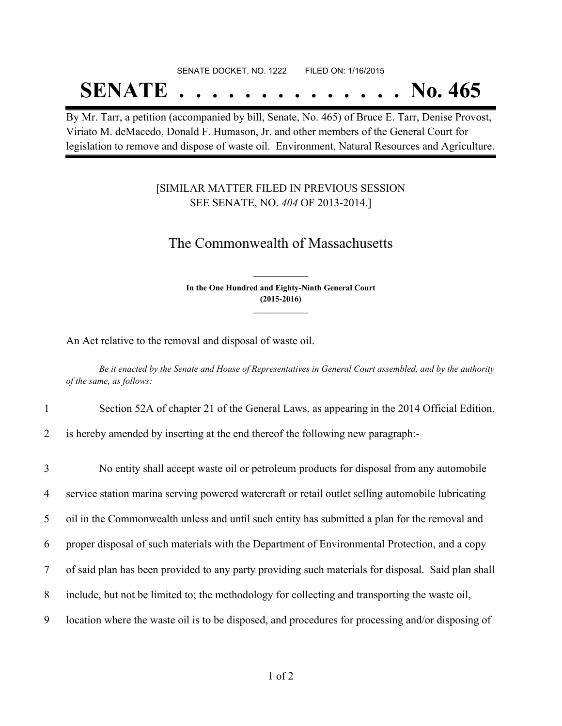## SENATE DOCKET, NO. 1222 FILED ON: 1/16/2015 **SENATE . . . . . . . . . . . . . . No. 465**

By Mr. Tarr, a petition (accompanied by bill, Senate, No. 465) of Bruce E. Tarr, Denise Provost, Viriato M. deMacedo, Donald F. Humason, Jr. and other members of the General Court for legislation to remove and dispose of waste oil. Environment, Natural Resources and Agriculture.

### [SIMILAR MATTER FILED IN PREVIOUS SESSION SEE SENATE, NO. *404* OF 2013-2014.]

## The Commonwealth of Massachusetts

**In the One Hundred and Eighty-Ninth General Court (2015-2016) \_\_\_\_\_\_\_\_\_\_\_\_\_\_\_**

**\_\_\_\_\_\_\_\_\_\_\_\_\_\_\_**

An Act relative to the removal and disposal of waste oil.

Be it enacted by the Senate and House of Representatives in General Court assembled, and by the authority *of the same, as follows:*

- 1 Section 52A of chapter 21 of the General Laws, as appearing in the 2014 Official Edition,
- 2 is hereby amended by inserting at the end thereof the following new paragraph:-

 No entity shall accept waste oil or petroleum products for disposal from any automobile service station marina serving powered watercraft or retail outlet selling automobile lubricating oil in the Commonwealth unless and until such entity has submitted a plan for the removal and proper disposal of such materials with the Department of Environmental Protection, and a copy of said plan has been provided to any party providing such materials for disposal. Said plan shall include, but not be limited to; the methodology for collecting and transporting the waste oil, location where the waste oil is to be disposed, and procedures for processing and/or disposing of